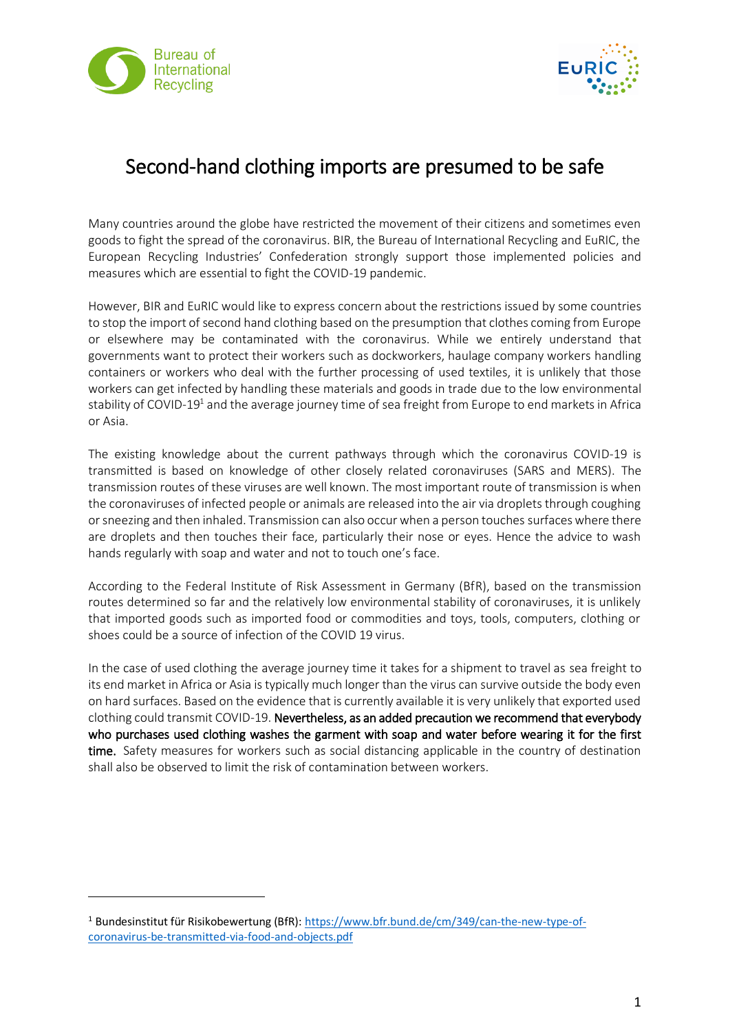

 $\overline{\phantom{a}}$ 



## Second-hand clothing imports are presumed to be safe

Many countries around the globe have restricted the movement of their citizens and sometimes even goods to fight the spread of the coronavirus. BIR, the Bureau of International Recycling and EuRIC, the European Recycling Industries' Confederation strongly support those implemented policies and measures which are essential to fight the COVID-19 pandemic.

However, BIR and EuRIC would like to express concern about the restrictions issued by some countries to stop the import of second hand clothing based on the presumption that clothes coming from Europe or elsewhere may be contaminated with the coronavirus. While we entirely understand that governments want to protect their workers such as dockworkers, haulage company workers handling containers or workers who deal with the further processing of used textiles, it is unlikely that those workers can get infected by handling these materials and goods in trade due to the low environmental stability of COVID-19 $^{\rm 1}$  and the average journey time of sea freight from Europe to end markets in Africa or Asia.

The existing knowledge about the current pathways through which the coronavirus COVID-19 is transmitted is based on knowledge of other closely related coronaviruses (SARS and MERS). The transmission routes of these viruses are well known. The most important route of transmission is when the coronaviruses of infected people or animals are released into the air via droplets through coughing or sneezing and then inhaled. Transmission can also occur when a person touches surfaces where there are droplets and then touches their face, particularly their nose or eyes. Hence the advice to wash hands regularly with soap and water and not to touch one's face.

According to the Federal Institute of Risk Assessment in Germany (BfR), based on the transmission routes determined so far and the relatively low environmental stability of coronaviruses, it is unlikely that imported goods such as imported food or commodities and toys, tools, computers, clothing or shoes could be a source of infection of the COVID 19 virus.

In the case of used clothing the average journey time it takes for a shipment to travel as sea freight to its end market in Africa or Asia is typically much longer than the virus can survive outside the body even on hard surfaces. Based on the evidence that is currently available it is very unlikely that exported used clothing could transmit COVID-19. Nevertheless, as an added precaution we recommend that everybody who purchases used clothing washes the garment with soap and water before wearing it for the first time. Safety measures for workers such as social distancing applicable in the country of destination shall also be observed to limit the risk of contamination between workers.

<sup>1</sup> Bundesinstitut für Risikobewertung (BfR)[: https://www.bfr.bund.de/cm/349/can-the-new-type-of](https://www.bfr.bund.de/cm/349/can-the-new-type-of-coronavirus-be-transmitted-via-food-and-objects.pdf)[coronavirus-be-transmitted-via-food-and-objects.pdf](https://www.bfr.bund.de/cm/349/can-the-new-type-of-coronavirus-be-transmitted-via-food-and-objects.pdf)